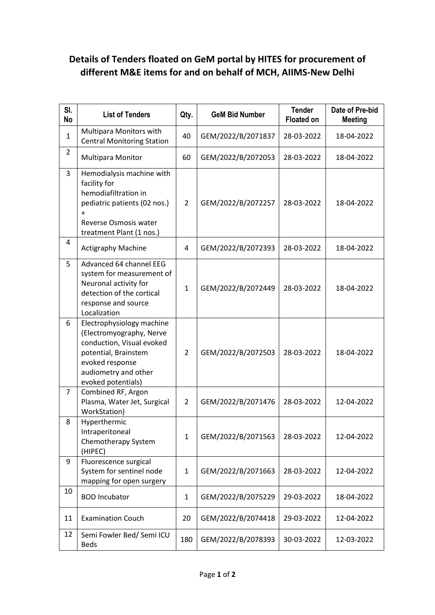## **Details of Tenders floated on GeM portal by HITES for procurement of different M&E items for and on behalf of MCH, AIIMS-New Delhi**

| SI.<br><b>No</b> | <b>List of Tenders</b>                                                                                                                                                      | Qty.           | <b>GeM Bid Number</b> | <b>Tender</b><br><b>Floated on</b> | Date of Pre-bid<br><b>Meeting</b> |
|------------------|-----------------------------------------------------------------------------------------------------------------------------------------------------------------------------|----------------|-----------------------|------------------------------------|-----------------------------------|
| $\mathbf{1}$     | Multipara Monitors with<br><b>Central Monitoring Station</b>                                                                                                                | 40             | GEM/2022/B/2071837    | 28-03-2022                         | 18-04-2022                        |
| $\overline{2}$   | <b>Multipara Monitor</b>                                                                                                                                                    | 60             | GEM/2022/B/2072053    | 28-03-2022                         | 18-04-2022                        |
| 3                | Hemodialysis machine with<br>facility for<br>hemodiafiltration in<br>pediatric patients (02 nos.)<br>$\ddot{}$<br>Reverse Osmosis water<br>treatment Plant (1 nos.)         | $\overline{2}$ | GEM/2022/B/2072257    | 28-03-2022                         | 18-04-2022                        |
| 4                | <b>Actigraphy Machine</b>                                                                                                                                                   | 4              | GEM/2022/B/2072393    | 28-03-2022                         | 18-04-2022                        |
| 5                | Advanced 64 channel EEG<br>system for measurement of<br>Neuronal activity for<br>detection of the cortical<br>response and source<br>Localization                           | $\mathbf{1}$   | GEM/2022/B/2072449    | 28-03-2022                         | 18-04-2022                        |
| 6                | Electrophysiology machine<br>(Electromyography, Nerve<br>conduction, Visual evoked<br>potential, Brainstem<br>evoked response<br>audiometry and other<br>evoked potentials) | $\overline{2}$ | GEM/2022/B/2072503    | 28-03-2022                         | 18-04-2022                        |
| $\overline{7}$   | Combined RF, Argon<br>Plasma, Water Jet, Surgical<br>WorkStation)                                                                                                           | $\overline{2}$ | GEM/2022/B/2071476    | 28-03-2022                         | 12-04-2022                        |
| 8                | Hyperthermic<br>Intraperitoneal<br>Chemotherapy System<br>(HIPEC)                                                                                                           | $\mathbf{1}$   | GEM/2022/B/2071563    | 28-03-2022                         | 12-04-2022                        |
| 9                | Fluorescence surgical<br>System for sentinel node<br>mapping for open surgery                                                                                               | $\mathbf{1}$   | GEM/2022/B/2071663    | 28-03-2022                         | 12-04-2022                        |
| 10               | <b>BOD Incubator</b>                                                                                                                                                        | $\mathbf{1}$   | GEM/2022/B/2075229    | 29-03-2022                         | 18-04-2022                        |
| 11               | <b>Examination Couch</b>                                                                                                                                                    | 20             | GEM/2022/B/2074418    | 29-03-2022                         | 12-04-2022                        |
| 12               | Semi Fowler Bed/ Semi ICU<br><b>Beds</b>                                                                                                                                    | 180            | GEM/2022/B/2078393    | 30-03-2022                         | 12-03-2022                        |